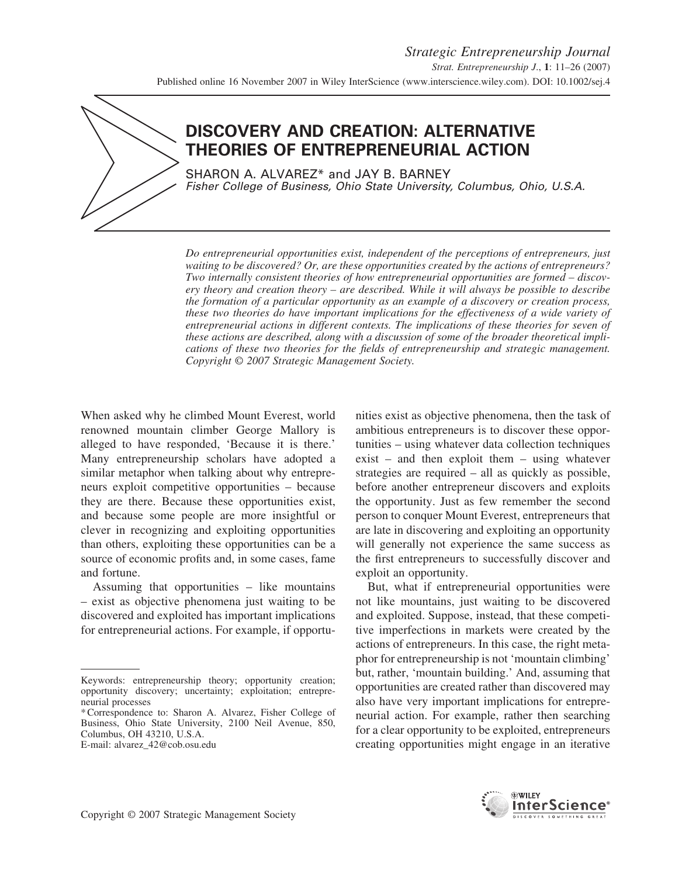

# **DISCOVERY AND CREATION: ALTERNATIVE THEORIES OF ENTREPRENEURIAL ACTION**

SHARON A. ALVAREZ\* and JAY B. BARNEY *Fisher College of Business, Ohio State University, Columbus, Ohio, U.S.A.*

*Do entrepreneurial opportunities exist, independent of the perceptions of entrepreneurs, just waiting to be discovered? Or, are these opportunities created by the actions of entrepreneurs? Two internally consistent theories of how entrepreneurial opportunities are formed – discovery theory and creation theory – are described. While it will always be possible to describe the formation of a particular opportunity as an example of a discovery or creation process, these two theories do have important implications for the effectiveness of a wide variety of entrepreneurial actions in different contexts. The implications of these theories for seven of these actions are described, along with a discussion of some of the broader theoretical implications of these two theories for the fields of entrepreneurship and strategic management. Copyright © 2007 Strategic Management Society.*

When asked why he climbed Mount Everest, world renowned mountain climber George Mallory is alleged to have responded, 'Because it is there.' Many entrepreneurship scholars have adopted a similar metaphor when talking about why entrepreneurs exploit competitive opportunities – because they are there. Because these opportunities exist, and because some people are more insightful or clever in recognizing and exploiting opportunities than others, exploiting these opportunities can be a source of economic profits and, in some cases, fame and fortune.

Assuming that opportunities – like mountains – exist as objective phenomena just waiting to be discovered and exploited has important implications for entrepreneurial actions. For example, if opportunities exist as objective phenomena, then the task of ambitious entrepreneurs is to discover these opportunities – using whatever data collection techniques exist – and then exploit them – using whatever strategies are required – all as quickly as possible, before another entrepreneur discovers and exploits the opportunity. Just as few remember the second person to conquer Mount Everest, entrepreneurs that are late in discovering and exploiting an opportunity will generally not experience the same success as the first entrepreneurs to successfully discover and exploit an opportunity.

But, what if entrepreneurial opportunities were not like mountains, just waiting to be discovered and exploited. Suppose, instead, that these competitive imperfections in markets were created by the actions of entrepreneurs. In this case, the right metaphor for entrepreneurship is not 'mountain climbing' but, rather, 'mountain building.' And, assuming that opportunities are created rather than discovered may also have very important implications for entrepreneurial action. For example, rather then searching for a clear opportunity to be exploited, entrepreneurs creating opportunities might engage in an iterative



Keywords: entrepreneurship theory; opportunity creation; opportunity discovery; uncertainty; exploitation; entrepreneurial processes

<sup>\*</sup> Correspondence to: Sharon A. Alvarez, Fisher College of Business, Ohio State University, 2100 Neil Avenue, 850, Columbus, OH 43210, U.S.A.

E-mail: alvarez\_42@cob.osu.edu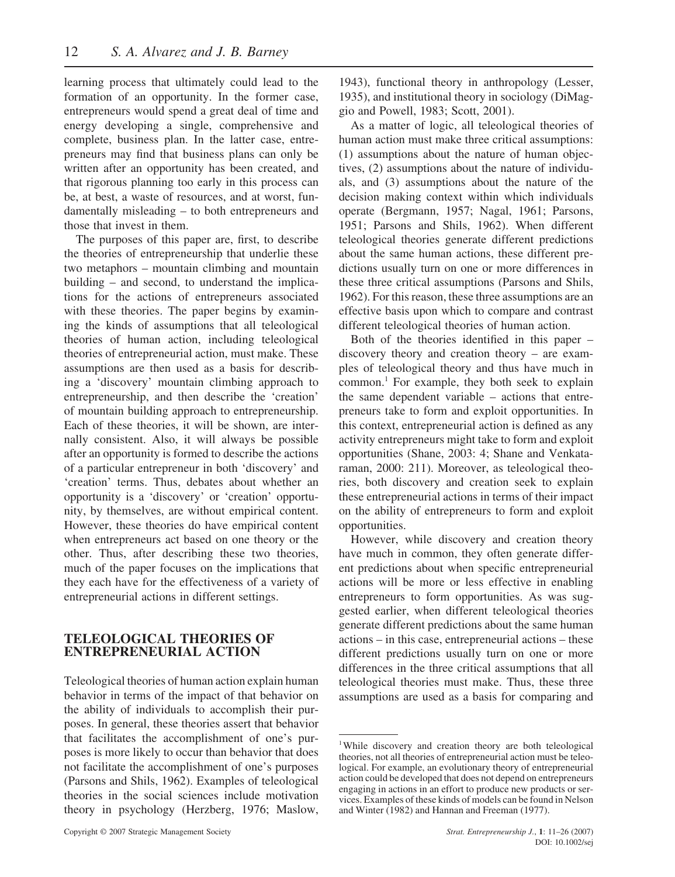learning process that ultimately could lead to the formation of an opportunity. In the former case, entrepreneurs would spend a great deal of time and energy developing a single, comprehensive and complete, business plan. In the latter case, entrepreneurs may find that business plans can only be written after an opportunity has been created, and that rigorous planning too early in this process can be, at best, a waste of resources, and at worst, fundamentally misleading – to both entrepreneurs and those that invest in them.

The purposes of this paper are, first, to describe the theories of entrepreneurship that underlie these two metaphors – mountain climbing and mountain building – and second, to understand the implications for the actions of entrepreneurs associated with these theories. The paper begins by examining the kinds of assumptions that all teleological theories of human action, including teleological theories of entrepreneurial action, must make. These assumptions are then used as a basis for describing a 'discovery' mountain climbing approach to entrepreneurship, and then describe the 'creation' of mountain building approach to entrepreneurship. Each of these theories, it will be shown, are internally consistent. Also, it will always be possible after an opportunity is formed to describe the actions of a particular entrepreneur in both 'discovery' and 'creation' terms. Thus, debates about whether an opportunity is a 'discovery' or 'creation' opportunity, by themselves, are without empirical content. However, these theories do have empirical content when entrepreneurs act based on one theory or the other. Thus, after describing these two theories, much of the paper focuses on the implications that they each have for the effectiveness of a variety of entrepreneurial actions in different settings.

## **TELEOLOGICAL THEORIES OF ENTREPRENEURIAL ACTION**

Teleological theories of human action explain human behavior in terms of the impact of that behavior on the ability of individuals to accomplish their purposes. In general, these theories assert that behavior that facilitates the accomplishment of one's purposes is more likely to occur than behavior that does not facilitate the accomplishment of one's purposes (Parsons and Shils, 1962). Examples of teleological theories in the social sciences include motivation theory in psychology (Herzberg, 1976; Maslow, 1943), functional theory in anthropology (Lesser, 1935), and institutional theory in sociology (DiMaggio and Powell, 1983; Scott, 2001).

As a matter of logic, all teleological theories of human action must make three critical assumptions: (1) assumptions about the nature of human objectives, (2) assumptions about the nature of individuals, and (3) assumptions about the nature of the decision making context within which individuals operate (Bergmann, 1957; Nagal, 1961; Parsons, 1951; Parsons and Shils, 1962). When different teleological theories generate different predictions about the same human actions, these different predictions usually turn on one or more differences in these three critical assumptions (Parsons and Shils, 1962). For this reason, these three assumptions are an effective basis upon which to compare and contrast different teleological theories of human action.

Both of the theories identified in this paper – discovery theory and creation theory – are examples of teleological theory and thus have much in common.<sup>1</sup> For example, they both seek to explain the same dependent variable – actions that entrepreneurs take to form and exploit opportunities. In this context, entrepreneurial action is defined as any activity entrepreneurs might take to form and exploit opportunities (Shane, 2003: 4; Shane and Venkataraman, 2000: 211). Moreover, as teleological theories, both discovery and creation seek to explain these entrepreneurial actions in terms of their impact on the ability of entrepreneurs to form and exploit opportunities.

However, while discovery and creation theory have much in common, they often generate different predictions about when specific entrepreneurial actions will be more or less effective in enabling entrepreneurs to form opportunities. As was suggested earlier, when different teleological theories generate different predictions about the same human actions – in this case, entrepreneurial actions – these different predictions usually turn on one or more differences in the three critical assumptions that all teleological theories must make. Thus, these three assumptions are used as a basis for comparing and

<sup>&</sup>lt;sup>1</sup>While discovery and creation theory are both teleological theories, not all theories of entrepreneurial action must be teleological. For example, an evolutionary theory of entrepreneurial action could be developed that does not depend on entrepreneurs engaging in actions in an effort to produce new products or services. Examples of these kinds of models can be found in Nelson and Winter (1982) and Hannan and Freeman (1977).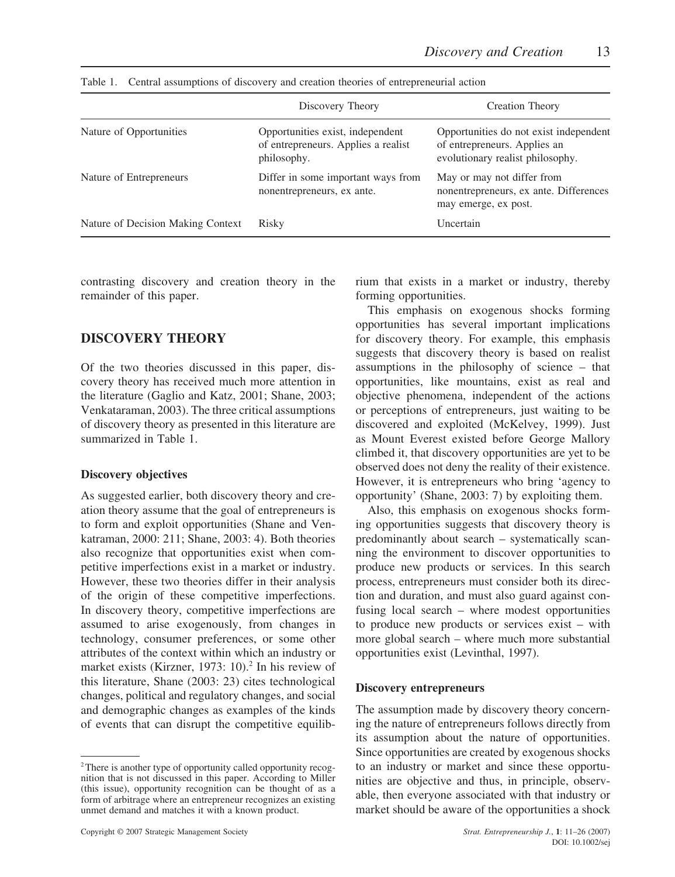|                                   | Discovery Theory                                                                       | Creation Theory                                                                                            |
|-----------------------------------|----------------------------------------------------------------------------------------|------------------------------------------------------------------------------------------------------------|
| Nature of Opportunities           | Opportunities exist, independent<br>of entrepreneurs. Applies a realist<br>philosophy. | Opportunities do not exist independent<br>of entrepreneurs. Applies an<br>evolutionary realist philosophy. |
| Nature of Entrepreneurs           | Differ in some important ways from<br>nonentrepreneurs, ex ante.                       | May or may not differ from<br>nonentrepreneurs, ex ante. Differences<br>may emerge, ex post.               |
| Nature of Decision Making Context | Risky                                                                                  | Uncertain                                                                                                  |

Table 1. Central assumptions of discovery and creation theories of entrepreneurial action

contrasting discovery and creation theory in the remainder of this paper.

## **DISCOVERY THEORY**

Of the two theories discussed in this paper, discovery theory has received much more attention in the literature (Gaglio and Katz, 2001; Shane, 2003; Venkataraman, 2003). The three critical assumptions of discovery theory as presented in this literature are summarized in Table 1.

#### **Discovery objectives**

As suggested earlier, both discovery theory and creation theory assume that the goal of entrepreneurs is to form and exploit opportunities (Shane and Venkatraman, 2000: 211; Shane, 2003: 4). Both theories also recognize that opportunities exist when competitive imperfections exist in a market or industry. However, these two theories differ in their analysis of the origin of these competitive imperfections. In discovery theory, competitive imperfections are assumed to arise exogenously, from changes in technology, consumer preferences, or some other attributes of the context within which an industry or market exists (Kirzner, 1973: 10).<sup>2</sup> In his review of this literature, Shane (2003: 23) cites technological changes, political and regulatory changes, and social and demographic changes as examples of the kinds of events that can disrupt the competitive equilib-

<sup>2</sup>There is another type of opportunity called opportunity recognition that is not discussed in this paper. According to Miller (this issue), opportunity recognition can be thought of as a form of arbitrage where an entrepreneur recognizes an existing unmet demand and matches it with a known product.

rium that exists in a market or industry, thereby forming opportunities.

This emphasis on exogenous shocks forming opportunities has several important implications for discovery theory. For example, this emphasis suggests that discovery theory is based on realist assumptions in the philosophy of science – that opportunities, like mountains, exist as real and objective phenomena, independent of the actions or perceptions of entrepreneurs, just waiting to be discovered and exploited (McKelvey, 1999). Just as Mount Everest existed before George Mallory climbed it, that discovery opportunities are yet to be observed does not deny the reality of their existence. However, it is entrepreneurs who bring 'agency to opportunity' (Shane, 2003: 7) by exploiting them.

Also, this emphasis on exogenous shocks forming opportunities suggests that discovery theory is predominantly about search – systematically scanning the environment to discover opportunities to produce new products or services. In this search process, entrepreneurs must consider both its direction and duration, and must also guard against confusing local search – where modest opportunities to produce new products or services exist – with more global search – where much more substantial opportunities exist (Levinthal, 1997).

#### **Discovery entrepreneurs**

The assumption made by discovery theory concerning the nature of entrepreneurs follows directly from its assumption about the nature of opportunities. Since opportunities are created by exogenous shocks to an industry or market and since these opportunities are objective and thus, in principle, observable, then everyone associated with that industry or market should be aware of the opportunities a shock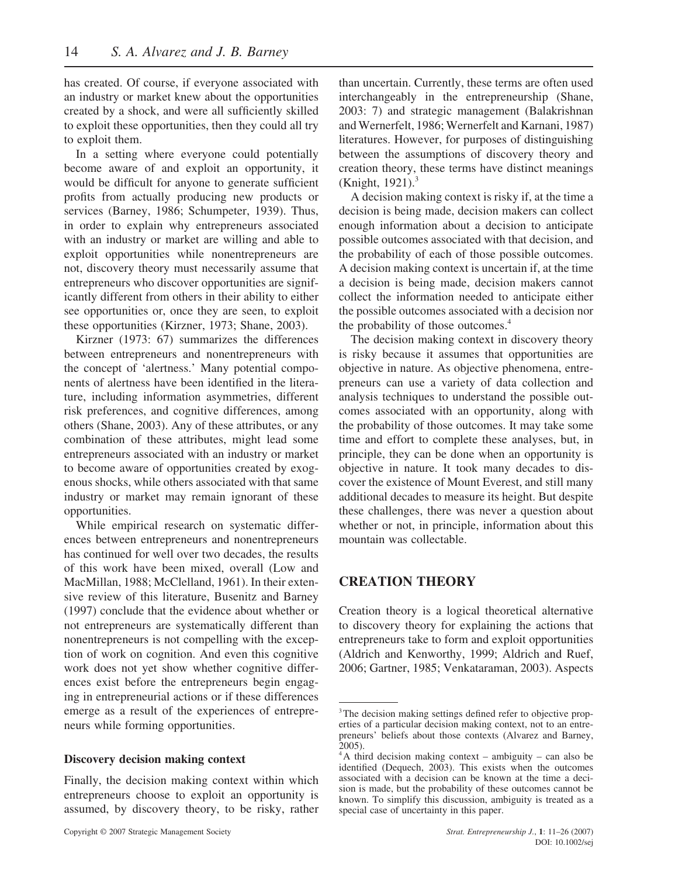has created. Of course, if everyone associated with an industry or market knew about the opportunities created by a shock, and were all sufficiently skilled to exploit these opportunities, then they could all try to exploit them.

In a setting where everyone could potentially become aware of and exploit an opportunity, it would be difficult for anyone to generate sufficient profits from actually producing new products or services (Barney, 1986; Schumpeter, 1939). Thus, in order to explain why entrepreneurs associated with an industry or market are willing and able to exploit opportunities while nonentrepreneurs are not, discovery theory must necessarily assume that entrepreneurs who discover opportunities are significantly different from others in their ability to either see opportunities or, once they are seen, to exploit these opportunities (Kirzner, 1973; Shane, 2003).

Kirzner (1973: 67) summarizes the differences between entrepreneurs and nonentrepreneurs with the concept of 'alertness.' Many potential components of alertness have been identified in the literature, including information asymmetries, different risk preferences, and cognitive differences, among others (Shane, 2003). Any of these attributes, or any combination of these attributes, might lead some entrepreneurs associated with an industry or market to become aware of opportunities created by exogenous shocks, while others associated with that same industry or market may remain ignorant of these opportunities.

While empirical research on systematic differences between entrepreneurs and nonentrepreneurs has continued for well over two decades, the results of this work have been mixed, overall (Low and MacMillan, 1988; McClelland, 1961). In their extensive review of this literature, Busenitz and Barney (1997) conclude that the evidence about whether or not entrepreneurs are systematically different than nonentrepreneurs is not compelling with the exception of work on cognition. And even this cognitive work does not yet show whether cognitive differences exist before the entrepreneurs begin engaging in entrepreneurial actions or if these differences emerge as a result of the experiences of entrepreneurs while forming opportunities.

#### **Discovery decision making context**

Finally, the decision making context within which entrepreneurs choose to exploit an opportunity is assumed, by discovery theory, to be risky, rather

than uncertain. Currently, these terms are often used interchangeably in the entrepreneurship (Shane, 2003: 7) and strategic management (Balakrishnan and Wernerfelt, 1986; Wernerfelt and Karnani, 1987) literatures. However, for purposes of distinguishing between the assumptions of discovery theory and creation theory, these terms have distinct meanings (Knight,  $1921$ ).<sup>3</sup>

A decision making context is risky if, at the time a decision is being made, decision makers can collect enough information about a decision to anticipate possible outcomes associated with that decision, and the probability of each of those possible outcomes. A decision making context is uncertain if, at the time a decision is being made, decision makers cannot collect the information needed to anticipate either the possible outcomes associated with a decision nor the probability of those outcomes.<sup>4</sup>

The decision making context in discovery theory is risky because it assumes that opportunities are objective in nature. As objective phenomena, entrepreneurs can use a variety of data collection and analysis techniques to understand the possible outcomes associated with an opportunity, along with the probability of those outcomes. It may take some time and effort to complete these analyses, but, in principle, they can be done when an opportunity is objective in nature. It took many decades to discover the existence of Mount Everest, and still many additional decades to measure its height. But despite these challenges, there was never a question about whether or not, in principle, information about this mountain was collectable.

## **CREATION THEORY**

Creation theory is a logical theoretical alternative to discovery theory for explaining the actions that entrepreneurs take to form and exploit opportunities (Aldrich and Kenworthy, 1999; Aldrich and Ruef, 2006; Gartner, 1985; Venkataraman, 2003). Aspects

<sup>&</sup>lt;sup>3</sup>The decision making settings defined refer to objective properties of a particular decision making context, not to an entrepreneurs' beliefs about those contexts (Alvarez and Barney, 2005).

 $4A$  third decision making context – ambiguity – can also be identified (Dequech, 2003). This exists when the outcomes associated with a decision can be known at the time a decision is made, but the probability of these outcomes cannot be known. To simplify this discussion, ambiguity is treated as a special case of uncertainty in this paper.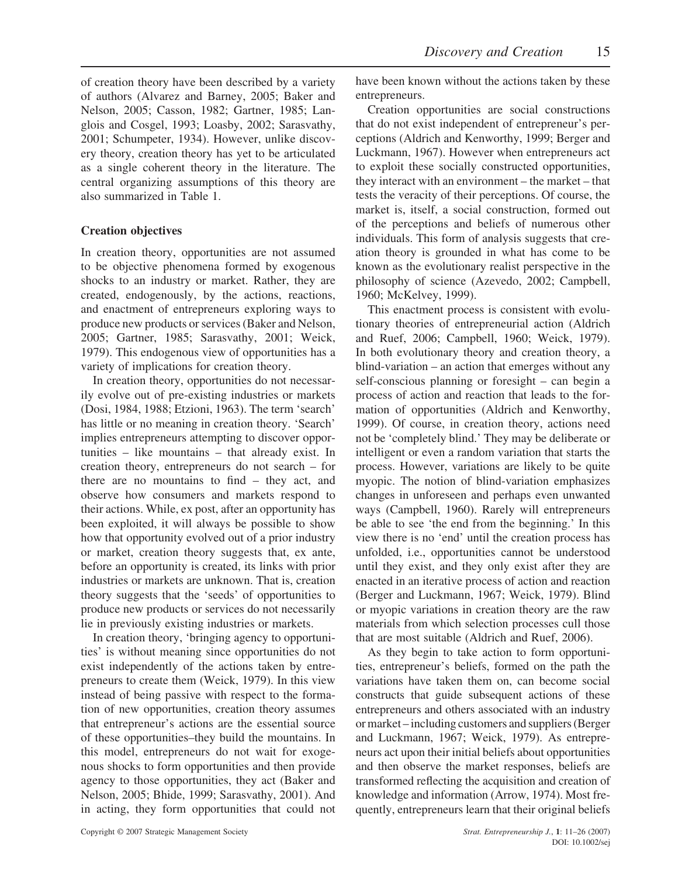of creation theory have been described by a variety of authors (Alvarez and Barney, 2005; Baker and Nelson, 2005; Casson, 1982; Gartner, 1985; Langlois and Cosgel, 1993; Loasby, 2002; Sarasvathy, 2001; Schumpeter, 1934). However, unlike discovery theory, creation theory has yet to be articulated as a single coherent theory in the literature. The central organizing assumptions of this theory are also summarized in Table 1.

## **Creation objectives**

In creation theory, opportunities are not assumed to be objective phenomena formed by exogenous shocks to an industry or market. Rather, they are created, endogenously, by the actions, reactions, and enactment of entrepreneurs exploring ways to produce new products or services (Baker and Nelson, 2005; Gartner, 1985; Sarasvathy, 2001; Weick, 1979). This endogenous view of opportunities has a variety of implications for creation theory.

In creation theory, opportunities do not necessarily evolve out of pre-existing industries or markets (Dosi, 1984, 1988; Etzioni, 1963). The term 'search' has little or no meaning in creation theory. 'Search' implies entrepreneurs attempting to discover opportunities – like mountains – that already exist. In creation theory, entrepreneurs do not search – for there are no mountains to find – they act, and observe how consumers and markets respond to their actions. While, ex post, after an opportunity has been exploited, it will always be possible to show how that opportunity evolved out of a prior industry or market, creation theory suggests that, ex ante, before an opportunity is created, its links with prior industries or markets are unknown. That is, creation theory suggests that the 'seeds' of opportunities to produce new products or services do not necessarily lie in previously existing industries or markets.

In creation theory, 'bringing agency to opportunities' is without meaning since opportunities do not exist independently of the actions taken by entrepreneurs to create them (Weick, 1979). In this view instead of being passive with respect to the formation of new opportunities, creation theory assumes that entrepreneur's actions are the essential source of these opportunities–they build the mountains. In this model, entrepreneurs do not wait for exogenous shocks to form opportunities and then provide agency to those opportunities, they act (Baker and Nelson, 2005; Bhide, 1999; Sarasvathy, 2001). And in acting, they form opportunities that could not have been known without the actions taken by these entrepreneurs.

Creation opportunities are social constructions that do not exist independent of entrepreneur's perceptions (Aldrich and Kenworthy, 1999; Berger and Luckmann, 1967). However when entrepreneurs act to exploit these socially constructed opportunities, they interact with an environment – the market – that tests the veracity of their perceptions. Of course, the market is, itself, a social construction, formed out of the perceptions and beliefs of numerous other individuals. This form of analysis suggests that creation theory is grounded in what has come to be known as the evolutionary realist perspective in the philosophy of science (Azevedo, 2002; Campbell, 1960; McKelvey, 1999).

This enactment process is consistent with evolutionary theories of entrepreneurial action (Aldrich and Ruef, 2006; Campbell, 1960; Weick, 1979). In both evolutionary theory and creation theory, a blind-variation – an action that emerges without any self-conscious planning or foresight – can begin a process of action and reaction that leads to the formation of opportunities (Aldrich and Kenworthy, 1999). Of course, in creation theory, actions need not be 'completely blind.' They may be deliberate or intelligent or even a random variation that starts the process. However, variations are likely to be quite myopic. The notion of blind-variation emphasizes changes in unforeseen and perhaps even unwanted ways (Campbell, 1960). Rarely will entrepreneurs be able to see 'the end from the beginning.' In this view there is no 'end' until the creation process has unfolded, i.e., opportunities cannot be understood until they exist, and they only exist after they are enacted in an iterative process of action and reaction (Berger and Luckmann, 1967; Weick, 1979). Blind or myopic variations in creation theory are the raw materials from which selection processes cull those that are most suitable (Aldrich and Ruef, 2006).

As they begin to take action to form opportunities, entrepreneur's beliefs, formed on the path the variations have taken them on, can become social constructs that guide subsequent actions of these entrepreneurs and others associated with an industry or market – including customers and suppliers (Berger and Luckmann, 1967; Weick, 1979). As entrepreneurs act upon their initial beliefs about opportunities and then observe the market responses, beliefs are transformed reflecting the acquisition and creation of knowledge and information (Arrow, 1974). Most frequently, entrepreneurs learn that their original beliefs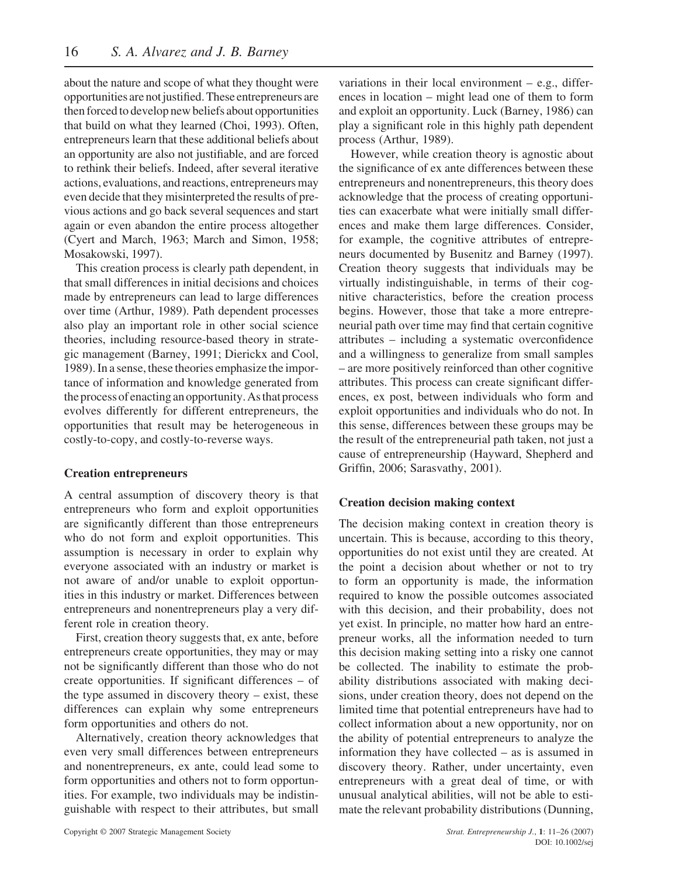about the nature and scope of what they thought were opportunities are not justified. These entrepreneurs are then forced to develop new beliefs about opportunities that build on what they learned (Choi, 1993). Often, entrepreneurs learn that these additional beliefs about an opportunity are also not justifiable, and are forced to rethink their beliefs. Indeed, after several iterative actions, evaluations, and reactions, entrepreneurs may even decide that they misinterpreted the results of previous actions and go back several sequences and start again or even abandon the entire process altogether (Cyert and March, 1963; March and Simon, 1958; Mosakowski, 1997).

This creation process is clearly path dependent, in that small differences in initial decisions and choices made by entrepreneurs can lead to large differences over time (Arthur, 1989). Path dependent processes also play an important role in other social science theories, including resource-based theory in strategic management (Barney, 1991; Dierickx and Cool, 1989). In a sense, these theories emphasize the importance of information and knowledge generated from the process of enacting an opportunity. As that process evolves differently for different entrepreneurs, the opportunities that result may be heterogeneous in costly-to-copy, and costly-to-reverse ways.

#### **Creation entrepreneurs**

A central assumption of discovery theory is that entrepreneurs who form and exploit opportunities are significantly different than those entrepreneurs who do not form and exploit opportunities. This assumption is necessary in order to explain why everyone associated with an industry or market is not aware of and/or unable to exploit opportunities in this industry or market. Differences between entrepreneurs and nonentrepreneurs play a very different role in creation theory.

First, creation theory suggests that, ex ante, before entrepreneurs create opportunities, they may or may not be significantly different than those who do not create opportunities. If significant differences – of the type assumed in discovery theory – exist, these differences can explain why some entrepreneurs form opportunities and others do not.

Alternatively, creation theory acknowledges that even very small differences between entrepreneurs and nonentrepreneurs, ex ante, could lead some to form opportunities and others not to form opportunities. For example, two individuals may be indistinguishable with respect to their attributes, but small

variations in their local environment  $-$  e.g., differences in location – might lead one of them to form and exploit an opportunity. Luck (Barney, 1986) can play a significant role in this highly path dependent process (Arthur, 1989).

However, while creation theory is agnostic about the significance of ex ante differences between these entrepreneurs and nonentrepreneurs, this theory does acknowledge that the process of creating opportunities can exacerbate what were initially small differences and make them large differences. Consider, for example, the cognitive attributes of entrepreneurs documented by Busenitz and Barney (1997). Creation theory suggests that individuals may be virtually indistinguishable, in terms of their cognitive characteristics, before the creation process begins. However, those that take a more entrepreneurial path over time may find that certain cognitive attributes – including a systematic overconfidence and a willingness to generalize from small samples – are more positively reinforced than other cognitive attributes. This process can create significant differences, ex post, between individuals who form and exploit opportunities and individuals who do not. In this sense, differences between these groups may be the result of the entrepreneurial path taken, not just a cause of entrepreneurship (Hayward, Shepherd and Griffin, 2006; Sarasvathy, 2001).

#### **Creation decision making context**

The decision making context in creation theory is uncertain. This is because, according to this theory, opportunities do not exist until they are created. At the point a decision about whether or not to try to form an opportunity is made, the information required to know the possible outcomes associated with this decision, and their probability, does not yet exist. In principle, no matter how hard an entrepreneur works, all the information needed to turn this decision making setting into a risky one cannot be collected. The inability to estimate the probability distributions associated with making decisions, under creation theory, does not depend on the limited time that potential entrepreneurs have had to collect information about a new opportunity, nor on the ability of potential entrepreneurs to analyze the information they have collected – as is assumed in discovery theory. Rather, under uncertainty, even entrepreneurs with a great deal of time, or with unusual analytical abilities, will not be able to estimate the relevant probability distributions (Dunning,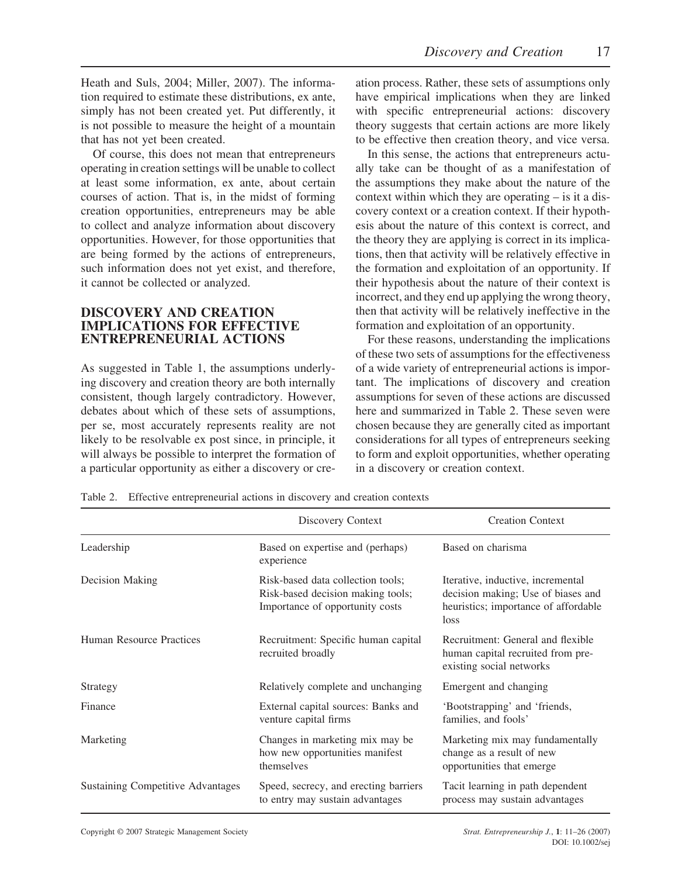Heath and Suls, 2004; Miller, 2007). The information required to estimate these distributions, ex ante, simply has not been created yet. Put differently, it is not possible to measure the height of a mountain that has not yet been created.

Of course, this does not mean that entrepreneurs operating in creation settings will be unable to collect at least some information, ex ante, about certain courses of action. That is, in the midst of forming creation opportunities, entrepreneurs may be able to collect and analyze information about discovery opportunities. However, for those opportunities that are being formed by the actions of entrepreneurs, such information does not yet exist, and therefore, it cannot be collected or analyzed.

## **DISCOVERY AND CREATION IMPLICATIONS FOR EFFECTIVE ENTREPRENEURIAL ACTIONS**

As suggested in Table 1, the assumptions underlying discovery and creation theory are both internally consistent, though largely contradictory. However, debates about which of these sets of assumptions, per se, most accurately represents reality are not likely to be resolvable ex post since, in principle, it will always be possible to interpret the formation of a particular opportunity as either a discovery or creation process. Rather, these sets of assumptions only have empirical implications when they are linked with specific entrepreneurial actions: discovery theory suggests that certain actions are more likely to be effective then creation theory, and vice versa.

In this sense, the actions that entrepreneurs actually take can be thought of as a manifestation of the assumptions they make about the nature of the context within which they are operating – is it a discovery context or a creation context. If their hypothesis about the nature of this context is correct, and the theory they are applying is correct in its implications, then that activity will be relatively effective in the formation and exploitation of an opportunity. If their hypothesis about the nature of their context is incorrect, and they end up applying the wrong theory, then that activity will be relatively ineffective in the formation and exploitation of an opportunity.

For these reasons, understanding the implications of these two sets of assumptions for the effectiveness of a wide variety of entrepreneurial actions is important. The implications of discovery and creation assumptions for seven of these actions are discussed here and summarized in Table 2. These seven were chosen because they are generally cited as important considerations for all types of entrepreneurs seeking to form and exploit opportunities, whether operating in a discovery or creation context.

Table 2. Effective entrepreneurial actions in discovery and creation contexts

|                                          | Discovery Context                                                                                         | <b>Creation Context</b>                                                                                                 |
|------------------------------------------|-----------------------------------------------------------------------------------------------------------|-------------------------------------------------------------------------------------------------------------------------|
| Leadership                               | Based on expertise and (perhaps)<br>experience                                                            | Based on charisma                                                                                                       |
| Decision Making                          | Risk-based data collection tools;<br>Risk-based decision making tools;<br>Importance of opportunity costs | Iterative, inductive, incremental<br>decision making; Use of biases and<br>heuristics; importance of affordable<br>loss |
| Human Resource Practices                 | Recruitment: Specific human capital<br>recruited broadly                                                  | Recruitment: General and flexible<br>human capital recruited from pre-<br>existing social networks                      |
| Strategy                                 | Relatively complete and unchanging                                                                        | Emergent and changing                                                                                                   |
| Finance                                  | External capital sources: Banks and<br>venture capital firms                                              | 'Bootstrapping' and 'friends,<br>families, and fools'                                                                   |
| Marketing                                | Changes in marketing mix may be.<br>how new opportunities manifest<br>themselves                          | Marketing mix may fundamentally<br>change as a result of new<br>opportunities that emerge                               |
| <b>Sustaining Competitive Advantages</b> | Speed, secrecy, and erecting barriers<br>to entry may sustain advantages                                  | Tacit learning in path dependent<br>process may sustain advantages                                                      |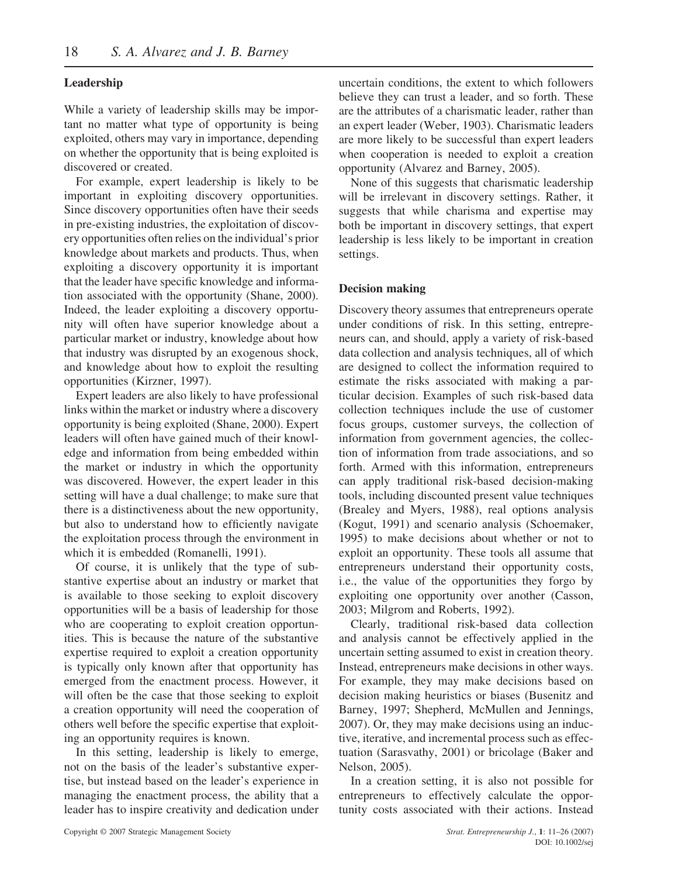#### **Leadership**

While a variety of leadership skills may be important no matter what type of opportunity is being exploited, others may vary in importance, depending on whether the opportunity that is being exploited is discovered or created.

For example, expert leadership is likely to be important in exploiting discovery opportunities. Since discovery opportunities often have their seeds in pre-existing industries, the exploitation of discovery opportunities often relies on the individual's prior knowledge about markets and products. Thus, when exploiting a discovery opportunity it is important that the leader have specific knowledge and information associated with the opportunity (Shane, 2000). Indeed, the leader exploiting a discovery opportunity will often have superior knowledge about a particular market or industry, knowledge about how that industry was disrupted by an exogenous shock, and knowledge about how to exploit the resulting opportunities (Kirzner, 1997).

Expert leaders are also likely to have professional links within the market or industry where a discovery opportunity is being exploited (Shane, 2000). Expert leaders will often have gained much of their knowledge and information from being embedded within the market or industry in which the opportunity was discovered. However, the expert leader in this setting will have a dual challenge; to make sure that there is a distinctiveness about the new opportunity, but also to understand how to efficiently navigate the exploitation process through the environment in which it is embedded (Romanelli, 1991).

Of course, it is unlikely that the type of substantive expertise about an industry or market that is available to those seeking to exploit discovery opportunities will be a basis of leadership for those who are cooperating to exploit creation opportunities. This is because the nature of the substantive expertise required to exploit a creation opportunity is typically only known after that opportunity has emerged from the enactment process. However, it will often be the case that those seeking to exploit a creation opportunity will need the cooperation of others well before the specific expertise that exploiting an opportunity requires is known.

In this setting, leadership is likely to emerge, not on the basis of the leader's substantive expertise, but instead based on the leader's experience in managing the enactment process, the ability that a leader has to inspire creativity and dedication under uncertain conditions, the extent to which followers believe they can trust a leader, and so forth. These are the attributes of a charismatic leader, rather than an expert leader (Weber, 1903). Charismatic leaders are more likely to be successful than expert leaders when cooperation is needed to exploit a creation opportunity (Alvarez and Barney, 2005).

None of this suggests that charismatic leadership will be irrelevant in discovery settings. Rather, it suggests that while charisma and expertise may both be important in discovery settings, that expert leadership is less likely to be important in creation settings.

## **Decision making**

Discovery theory assumes that entrepreneurs operate under conditions of risk. In this setting, entrepreneurs can, and should, apply a variety of risk-based data collection and analysis techniques, all of which are designed to collect the information required to estimate the risks associated with making a particular decision. Examples of such risk-based data collection techniques include the use of customer focus groups, customer surveys, the collection of information from government agencies, the collection of information from trade associations, and so forth. Armed with this information, entrepreneurs can apply traditional risk-based decision-making tools, including discounted present value techniques (Brealey and Myers, 1988), real options analysis (Kogut, 1991) and scenario analysis (Schoemaker, 1995) to make decisions about whether or not to exploit an opportunity. These tools all assume that entrepreneurs understand their opportunity costs, i.e., the value of the opportunities they forgo by exploiting one opportunity over another (Casson, 2003; Milgrom and Roberts, 1992).

Clearly, traditional risk-based data collection and analysis cannot be effectively applied in the uncertain setting assumed to exist in creation theory. Instead, entrepreneurs make decisions in other ways. For example, they may make decisions based on decision making heuristics or biases (Busenitz and Barney, 1997; Shepherd, McMullen and Jennings, 2007). Or, they may make decisions using an inductive, iterative, and incremental process such as effectuation (Sarasvathy, 2001) or bricolage (Baker and Nelson, 2005).

In a creation setting, it is also not possible for entrepreneurs to effectively calculate the opportunity costs associated with their actions. Instead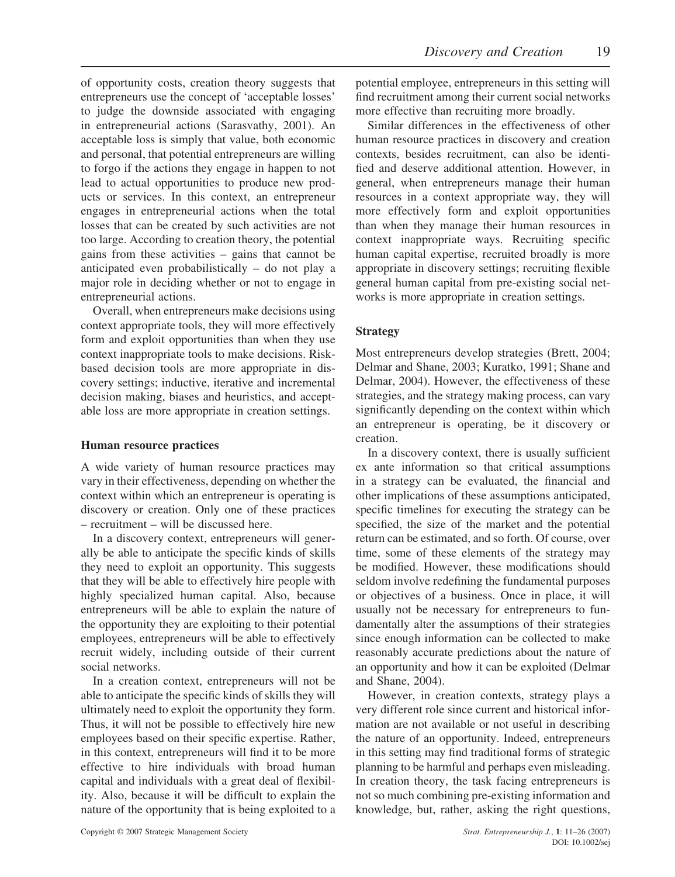of opportunity costs, creation theory suggests that entrepreneurs use the concept of 'acceptable losses' to judge the downside associated with engaging in entrepreneurial actions (Sarasvathy, 2001). An acceptable loss is simply that value, both economic and personal, that potential entrepreneurs are willing to forgo if the actions they engage in happen to not lead to actual opportunities to produce new products or services. In this context, an entrepreneur engages in entrepreneurial actions when the total losses that can be created by such activities are not too large. According to creation theory, the potential gains from these activities – gains that cannot be anticipated even probabilistically – do not play a major role in deciding whether or not to engage in entrepreneurial actions.

Overall, when entrepreneurs make decisions using context appropriate tools, they will more effectively form and exploit opportunities than when they use context inappropriate tools to make decisions. Riskbased decision tools are more appropriate in discovery settings; inductive, iterative and incremental decision making, biases and heuristics, and acceptable loss are more appropriate in creation settings.

#### **Human resource practices**

A wide variety of human resource practices may vary in their effectiveness, depending on whether the context within which an entrepreneur is operating is discovery or creation. Only one of these practices – recruitment – will be discussed here.

In a discovery context, entrepreneurs will generally be able to anticipate the specific kinds of skills they need to exploit an opportunity. This suggests that they will be able to effectively hire people with highly specialized human capital. Also, because entrepreneurs will be able to explain the nature of the opportunity they are exploiting to their potential employees, entrepreneurs will be able to effectively recruit widely, including outside of their current social networks.

In a creation context, entrepreneurs will not be able to anticipate the specific kinds of skills they will ultimately need to exploit the opportunity they form. Thus, it will not be possible to effectively hire new employees based on their specific expertise. Rather, in this context, entrepreneurs will find it to be more effective to hire individuals with broad human capital and individuals with a great deal of flexibility. Also, because it will be difficult to explain the nature of the opportunity that is being exploited to a

potential employee, entrepreneurs in this setting will find recruitment among their current social networks more effective than recruiting more broadly.

Similar differences in the effectiveness of other human resource practices in discovery and creation contexts, besides recruitment, can also be identified and deserve additional attention. However, in general, when entrepreneurs manage their human resources in a context appropriate way, they will more effectively form and exploit opportunities than when they manage their human resources in context inappropriate ways. Recruiting specific human capital expertise, recruited broadly is more appropriate in discovery settings; recruiting flexible general human capital from pre-existing social networks is more appropriate in creation settings.

#### **Strategy**

Most entrepreneurs develop strategies (Brett, 2004; Delmar and Shane, 2003; Kuratko, 1991; Shane and Delmar, 2004). However, the effectiveness of these strategies, and the strategy making process, can vary significantly depending on the context within which an entrepreneur is operating, be it discovery or creation.

In a discovery context, there is usually sufficient ex ante information so that critical assumptions in a strategy can be evaluated, the financial and other implications of these assumptions anticipated, specific timelines for executing the strategy can be specified, the size of the market and the potential return can be estimated, and so forth. Of course, over time, some of these elements of the strategy may be modified. However, these modifications should seldom involve redefining the fundamental purposes or objectives of a business. Once in place, it will usually not be necessary for entrepreneurs to fundamentally alter the assumptions of their strategies since enough information can be collected to make reasonably accurate predictions about the nature of an opportunity and how it can be exploited (Delmar and Shane, 2004).

However, in creation contexts, strategy plays a very different role since current and historical information are not available or not useful in describing the nature of an opportunity. Indeed, entrepreneurs in this setting may find traditional forms of strategic planning to be harmful and perhaps even misleading. In creation theory, the task facing entrepreneurs is not so much combining pre-existing information and knowledge, but, rather, asking the right questions,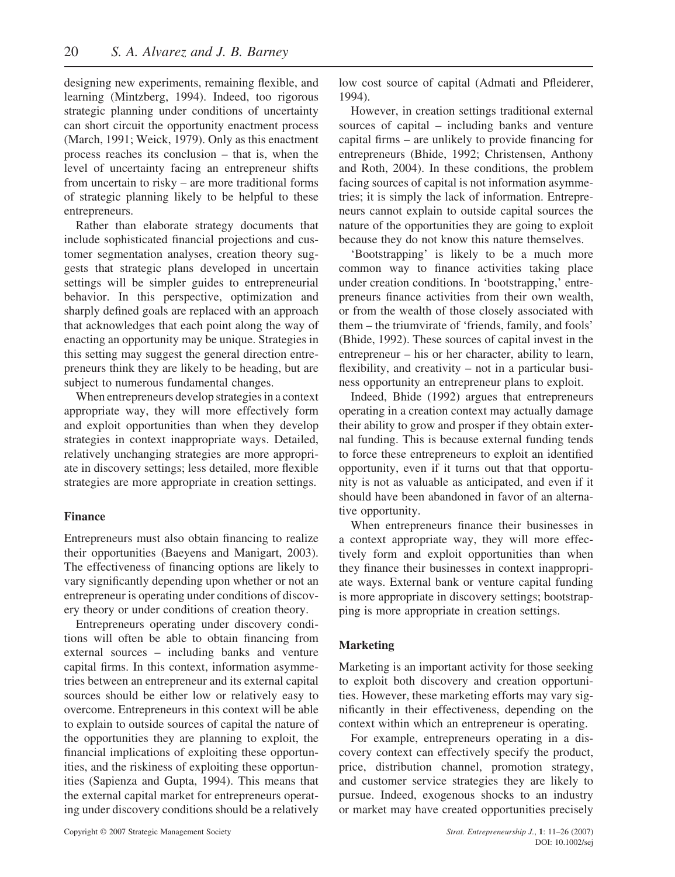designing new experiments, remaining flexible, and learning (Mintzberg, 1994). Indeed, too rigorous strategic planning under conditions of uncertainty can short circuit the opportunity enactment process (March, 1991; Weick, 1979). Only as this enactment process reaches its conclusion – that is, when the level of uncertainty facing an entrepreneur shifts from uncertain to risky – are more traditional forms of strategic planning likely to be helpful to these entrepreneurs.

Rather than elaborate strategy documents that include sophisticated financial projections and customer segmentation analyses, creation theory suggests that strategic plans developed in uncertain settings will be simpler guides to entrepreneurial behavior. In this perspective, optimization and sharply defined goals are replaced with an approach that acknowledges that each point along the way of enacting an opportunity may be unique. Strategies in this setting may suggest the general direction entrepreneurs think they are likely to be heading, but are subject to numerous fundamental changes.

When entrepreneurs develop strategies in a context appropriate way, they will more effectively form and exploit opportunities than when they develop strategies in context inappropriate ways. Detailed, relatively unchanging strategies are more appropriate in discovery settings; less detailed, more flexible strategies are more appropriate in creation settings.

#### **Finance**

Entrepreneurs must also obtain financing to realize their opportunities (Baeyens and Manigart, 2003). The effectiveness of financing options are likely to vary significantly depending upon whether or not an entrepreneur is operating under conditions of discovery theory or under conditions of creation theory.

Entrepreneurs operating under discovery conditions will often be able to obtain financing from external sources – including banks and venture capital firms. In this context, information asymmetries between an entrepreneur and its external capital sources should be either low or relatively easy to overcome. Entrepreneurs in this context will be able to explain to outside sources of capital the nature of the opportunities they are planning to exploit, the financial implications of exploiting these opportunities, and the riskiness of exploiting these opportunities (Sapienza and Gupta, 1994). This means that the external capital market for entrepreneurs operating under discovery conditions should be a relatively

low cost source of capital (Admati and Pfleiderer, 1994).

However, in creation settings traditional external sources of capital – including banks and venture capital firms – are unlikely to provide financing for entrepreneurs (Bhide, 1992; Christensen, Anthony and Roth, 2004). In these conditions, the problem facing sources of capital is not information asymmetries; it is simply the lack of information. Entrepreneurs cannot explain to outside capital sources the nature of the opportunities they are going to exploit because they do not know this nature themselves.

'Bootstrapping' is likely to be a much more common way to finance activities taking place under creation conditions. In 'bootstrapping,' entrepreneurs finance activities from their own wealth, or from the wealth of those closely associated with them – the triumvirate of 'friends, family, and fools' (Bhide, 1992). These sources of capital invest in the entrepreneur – his or her character, ability to learn, flexibility, and creativity – not in a particular business opportunity an entrepreneur plans to exploit.

Indeed, Bhide (1992) argues that entrepreneurs operating in a creation context may actually damage their ability to grow and prosper if they obtain external funding. This is because external funding tends to force these entrepreneurs to exploit an identified opportunity, even if it turns out that that opportunity is not as valuable as anticipated, and even if it should have been abandoned in favor of an alternative opportunity.

When entrepreneurs finance their businesses in a context appropriate way, they will more effectively form and exploit opportunities than when they finance their businesses in context inappropriate ways. External bank or venture capital funding is more appropriate in discovery settings; bootstrapping is more appropriate in creation settings.

#### **Marketing**

Marketing is an important activity for those seeking to exploit both discovery and creation opportunities. However, these marketing efforts may vary significantly in their effectiveness, depending on the context within which an entrepreneur is operating.

For example, entrepreneurs operating in a discovery context can effectively specify the product, price, distribution channel, promotion strategy, and customer service strategies they are likely to pursue. Indeed, exogenous shocks to an industry or market may have created opportunities precisely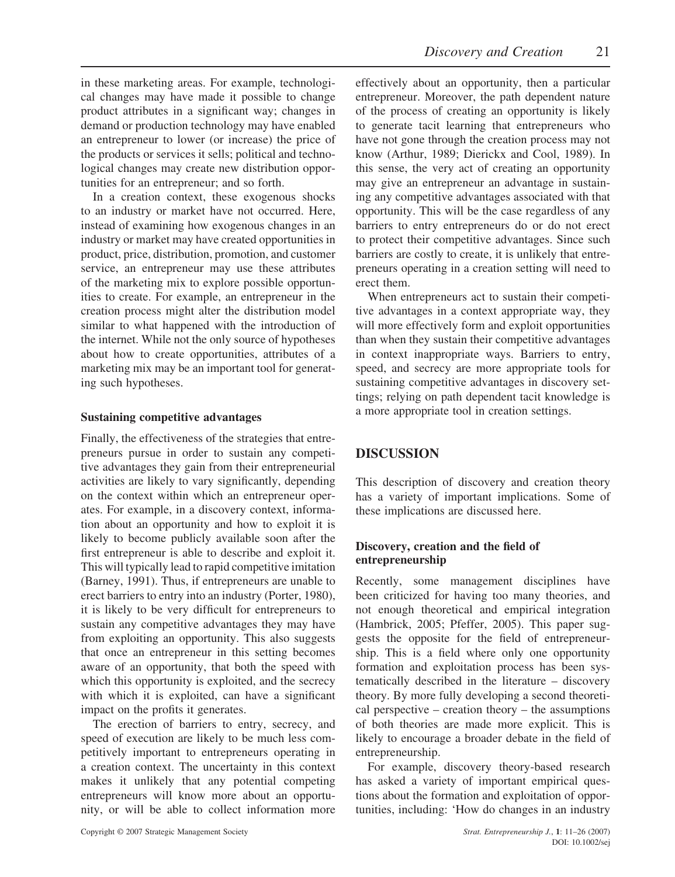in these marketing areas. For example, technological changes may have made it possible to change product attributes in a significant way; changes in demand or production technology may have enabled an entrepreneur to lower (or increase) the price of the products or services it sells; political and technological changes may create new distribution opportunities for an entrepreneur; and so forth.

In a creation context, these exogenous shocks to an industry or market have not occurred. Here, instead of examining how exogenous changes in an industry or market may have created opportunities in product, price, distribution, promotion, and customer service, an entrepreneur may use these attributes of the marketing mix to explore possible opportunities to create. For example, an entrepreneur in the creation process might alter the distribution model similar to what happened with the introduction of the internet. While not the only source of hypotheses about how to create opportunities, attributes of a marketing mix may be an important tool for generating such hypotheses.

## **Sustaining competitive advantages**

Finally, the effectiveness of the strategies that entrepreneurs pursue in order to sustain any competitive advantages they gain from their entrepreneurial activities are likely to vary significantly, depending on the context within which an entrepreneur operates. For example, in a discovery context, information about an opportunity and how to exploit it is likely to become publicly available soon after the first entrepreneur is able to describe and exploit it. This will typically lead to rapid competitive imitation (Barney, 1991). Thus, if entrepreneurs are unable to erect barriers to entry into an industry (Porter, 1980), it is likely to be very difficult for entrepreneurs to sustain any competitive advantages they may have from exploiting an opportunity. This also suggests that once an entrepreneur in this setting becomes aware of an opportunity, that both the speed with which this opportunity is exploited, and the secrecy with which it is exploited, can have a significant impact on the profits it generates.

The erection of barriers to entry, secrecy, and speed of execution are likely to be much less competitively important to entrepreneurs operating in a creation context. The uncertainty in this context makes it unlikely that any potential competing entrepreneurs will know more about an opportunity, or will be able to collect information more

effectively about an opportunity, then a particular entrepreneur. Moreover, the path dependent nature of the process of creating an opportunity is likely to generate tacit learning that entrepreneurs who have not gone through the creation process may not know (Arthur, 1989; Dierickx and Cool, 1989). In this sense, the very act of creating an opportunity may give an entrepreneur an advantage in sustaining any competitive advantages associated with that opportunity. This will be the case regardless of any barriers to entry entrepreneurs do or do not erect to protect their competitive advantages. Since such barriers are costly to create, it is unlikely that entrepreneurs operating in a creation setting will need to erect them.

When entrepreneurs act to sustain their competitive advantages in a context appropriate way, they will more effectively form and exploit opportunities than when they sustain their competitive advantages in context inappropriate ways. Barriers to entry, speed, and secrecy are more appropriate tools for sustaining competitive advantages in discovery settings; relying on path dependent tacit knowledge is a more appropriate tool in creation settings.

# **DISCUSSION**

This description of discovery and creation theory has a variety of important implications. Some of these implications are discussed here.

## **Discovery, creation and the field of entrepreneurship**

Recently, some management disciplines have been criticized for having too many theories, and not enough theoretical and empirical integration (Hambrick, 2005; Pfeffer, 2005). This paper suggests the opposite for the field of entrepreneurship. This is a field where only one opportunity formation and exploitation process has been systematically described in the literature – discovery theory. By more fully developing a second theoretical perspective – creation theory – the assumptions of both theories are made more explicit. This is likely to encourage a broader debate in the field of entrepreneurship.

For example, discovery theory-based research has asked a variety of important empirical questions about the formation and exploitation of opportunities, including: 'How do changes in an industry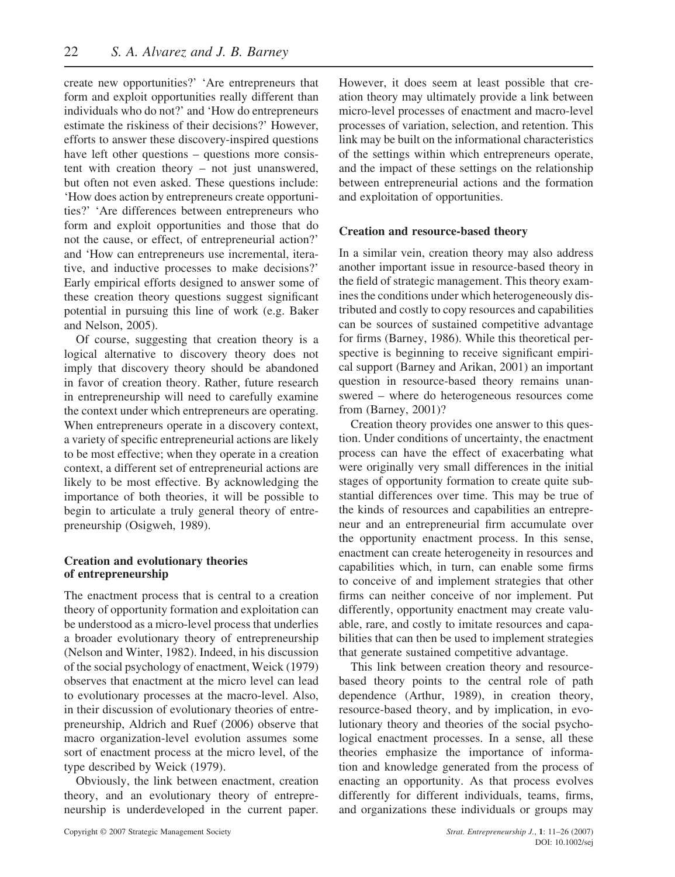create new opportunities?' 'Are entrepreneurs that form and exploit opportunities really different than individuals who do not?' and 'How do entrepreneurs estimate the riskiness of their decisions?' However, efforts to answer these discovery-inspired questions have left other questions – questions more consistent with creation theory – not just unanswered, but often not even asked. These questions include: 'How does action by entrepreneurs create opportunities?' 'Are differences between entrepreneurs who form and exploit opportunities and those that do not the cause, or effect, of entrepreneurial action?' and 'How can entrepreneurs use incremental, iterative, and inductive processes to make decisions?' Early empirical efforts designed to answer some of these creation theory questions suggest significant potential in pursuing this line of work (e.g. Baker and Nelson, 2005).

Of course, suggesting that creation theory is a logical alternative to discovery theory does not imply that discovery theory should be abandoned in favor of creation theory. Rather, future research in entrepreneurship will need to carefully examine the context under which entrepreneurs are operating. When entrepreneurs operate in a discovery context, a variety of specific entrepreneurial actions are likely to be most effective; when they operate in a creation context, a different set of entrepreneurial actions are likely to be most effective. By acknowledging the importance of both theories, it will be possible to begin to articulate a truly general theory of entrepreneurship (Osigweh, 1989).

## **Creation and evolutionary theories of entrepreneurship**

The enactment process that is central to a creation theory of opportunity formation and exploitation can be understood as a micro-level process that underlies a broader evolutionary theory of entrepreneurship (Nelson and Winter, 1982). Indeed, in his discussion of the social psychology of enactment, Weick (1979) observes that enactment at the micro level can lead to evolutionary processes at the macro-level. Also, in their discussion of evolutionary theories of entrepreneurship, Aldrich and Ruef (2006) observe that macro organization-level evolution assumes some sort of enactment process at the micro level, of the type described by Weick (1979).

Obviously, the link between enactment, creation theory, and an evolutionary theory of entrepreneurship is underdeveloped in the current paper.

However, it does seem at least possible that creation theory may ultimately provide a link between micro-level processes of enactment and macro-level processes of variation, selection, and retention. This link may be built on the informational characteristics of the settings within which entrepreneurs operate, and the impact of these settings on the relationship between entrepreneurial actions and the formation and exploitation of opportunities.

#### **Creation and resource-based theory**

In a similar vein, creation theory may also address another important issue in resource-based theory in the field of strategic management. This theory examines the conditions under which heterogeneously distributed and costly to copy resources and capabilities can be sources of sustained competitive advantage for firms (Barney, 1986). While this theoretical perspective is beginning to receive significant empirical support (Barney and Arikan, 2001) an important question in resource-based theory remains unanswered – where do heterogeneous resources come from (Barney, 2001)?

Creation theory provides one answer to this question. Under conditions of uncertainty, the enactment process can have the effect of exacerbating what were originally very small differences in the initial stages of opportunity formation to create quite substantial differences over time. This may be true of the kinds of resources and capabilities an entrepreneur and an entrepreneurial firm accumulate over the opportunity enactment process. In this sense, enactment can create heterogeneity in resources and capabilities which, in turn, can enable some firms to conceive of and implement strategies that other firms can neither conceive of nor implement. Put differently, opportunity enactment may create valuable, rare, and costly to imitate resources and capabilities that can then be used to implement strategies that generate sustained competitive advantage.

This link between creation theory and resourcebased theory points to the central role of path dependence (Arthur, 1989), in creation theory, resource-based theory, and by implication, in evolutionary theory and theories of the social psychological enactment processes. In a sense, all these theories emphasize the importance of information and knowledge generated from the process of enacting an opportunity. As that process evolves differently for different individuals, teams, firms, and organizations these individuals or groups may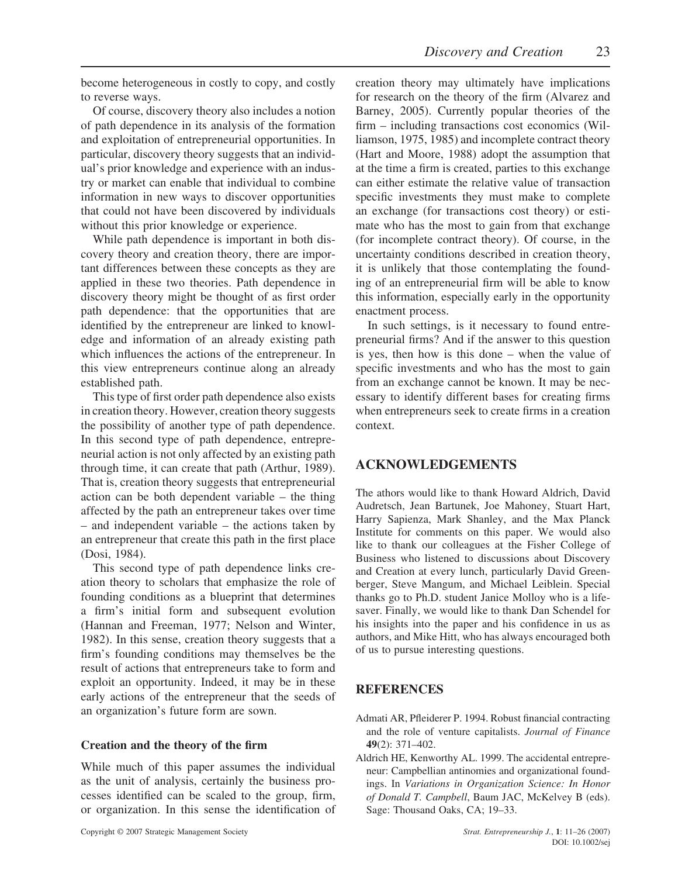become heterogeneous in costly to copy, and costly to reverse ways.

Of course, discovery theory also includes a notion of path dependence in its analysis of the formation and exploitation of entrepreneurial opportunities. In particular, discovery theory suggests that an individual's prior knowledge and experience with an industry or market can enable that individual to combine information in new ways to discover opportunities that could not have been discovered by individuals without this prior knowledge or experience.

While path dependence is important in both discovery theory and creation theory, there are important differences between these concepts as they are applied in these two theories. Path dependence in discovery theory might be thought of as first order path dependence: that the opportunities that are identified by the entrepreneur are linked to knowledge and information of an already existing path which influences the actions of the entrepreneur. In this view entrepreneurs continue along an already established path.

This type of first order path dependence also exists in creation theory. However, creation theory suggests the possibility of another type of path dependence. In this second type of path dependence, entrepreneurial action is not only affected by an existing path through time, it can create that path (Arthur, 1989). That is, creation theory suggests that entrepreneurial action can be both dependent variable – the thing affected by the path an entrepreneur takes over time – and independent variable – the actions taken by an entrepreneur that create this path in the first place (Dosi, 1984).

This second type of path dependence links creation theory to scholars that emphasize the role of founding conditions as a blueprint that determines a firm's initial form and subsequent evolution (Hannan and Freeman, 1977; Nelson and Winter, 1982). In this sense, creation theory suggests that a firm's founding conditions may themselves be the result of actions that entrepreneurs take to form and exploit an opportunity. Indeed, it may be in these early actions of the entrepreneur that the seeds of an organization's future form are sown.

#### **Creation and the theory of the firm**

While much of this paper assumes the individual as the unit of analysis, certainly the business processes identified can be scaled to the group, firm, or organization. In this sense the identification of creation theory may ultimately have implications for research on the theory of the firm (Alvarez and Barney, 2005). Currently popular theories of the firm – including transactions cost economics (Williamson, 1975, 1985) and incomplete contract theory (Hart and Moore, 1988) adopt the assumption that at the time a firm is created, parties to this exchange can either estimate the relative value of transaction specific investments they must make to complete an exchange (for transactions cost theory) or estimate who has the most to gain from that exchange (for incomplete contract theory). Of course, in the uncertainty conditions described in creation theory, it is unlikely that those contemplating the founding of an entrepreneurial firm will be able to know this information, especially early in the opportunity enactment process.

In such settings, is it necessary to found entrepreneurial firms? And if the answer to this question is yes, then how is this done – when the value of specific investments and who has the most to gain from an exchange cannot be known. It may be necessary to identify different bases for creating firms when entrepreneurs seek to create firms in a creation context.

## **ACKNOWLEDGEMENTS**

The athors would like to thank Howard Aldrich, David Audretsch, Jean Bartunek, Joe Mahoney, Stuart Hart, Harry Sapienza, Mark Shanley, and the Max Planck Institute for comments on this paper. We would also like to thank our colleagues at the Fisher College of Business who listened to discussions about Discovery and Creation at every lunch, particularly David Greenberger, Steve Mangum, and Michael Leiblein. Special thanks go to Ph.D. student Janice Molloy who is a lifesaver. Finally, we would like to thank Dan Schendel for his insights into the paper and his confidence in us as authors, and Mike Hitt, who has always encouraged both of us to pursue interesting questions.

#### **REFERENCES**

- Admati AR, Pfleiderer P. 1994. Robust financial contracting and the role of venture capitalists. *Journal of Finance* **49**(2): 371–402.
- Aldrich HE, Kenworthy AL. 1999. The accidental entrepreneur: Campbellian antinomies and organizational foundings. In *Variations in Organization Science: In Honor of Donald T. Campbell*, Baum JAC, McKelvey B (eds). Sage: Thousand Oaks, CA; 19–33.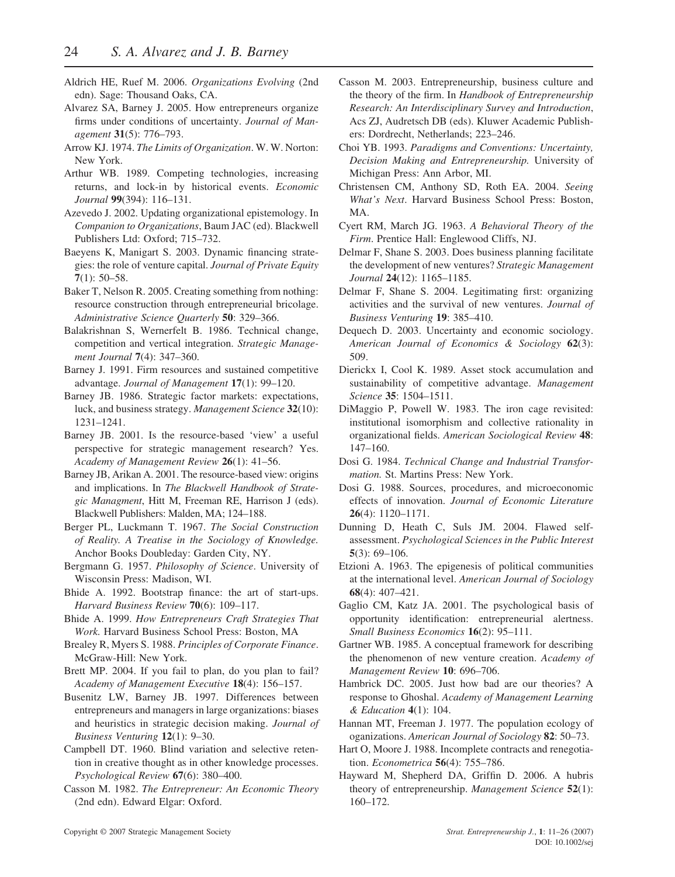- Aldrich HE, Ruef M. 2006. *Organizations Evolving* (2nd edn). Sage: Thousand Oaks, CA.
- Alvarez SA, Barney J. 2005. How entrepreneurs organize firms under conditions of uncertainty. *Journal of Management* **31**(5): 776–793.
- Arrow KJ. 1974. *The Limits of Organization*. W. W. Norton: New York.
- Arthur WB. 1989. Competing technologies, increasing returns, and lock-in by historical events. *Economic Journal* **99**(394): 116–131.
- Azevedo J. 2002. Updating organizational epistemology. In *Companion to Organizations*, Baum JAC (ed). Blackwell Publishers Ltd: Oxford; 715–732.
- Baeyens K, Manigart S. 2003. Dynamic financing strategies: the role of venture capital. *Journal of Private Equity* **7**(1): 50–58.
- Baker T, Nelson R. 2005. Creating something from nothing: resource construction through entrepreneurial bricolage. *Administrative Science Quarterly* **50**: 329–366.
- Balakrishnan S, Wernerfelt B. 1986. Technical change, competition and vertical integration. *Strategic Management Journal* **7**(4): 347–360.
- Barney J. 1991. Firm resources and sustained competitive advantage. *Journal of Management* **17**(1): 99–120.
- Barney JB. 1986. Strategic factor markets: expectations, luck, and business strategy. *Management Science* **32**(10): 1231–1241.
- Barney JB. 2001. Is the resource-based 'view' a useful perspective for strategic management research? Yes. *Academy of Management Review* **26**(1): 41–56.
- Barney JB, Arikan A. 2001. The resource-based view: origins and implications. In *The Blackwell Handbook of Strategic Managment*, Hitt M, Freeman RE, Harrison J (eds). Blackwell Publishers: Malden, MA; 124–188.
- Berger PL, Luckmann T. 1967. *The Social Construction of Reality. A Treatise in the Sociology of Knowledge.* Anchor Books Doubleday: Garden City, NY.
- Bergmann G. 1957. *Philosophy of Science*. University of Wisconsin Press: Madison, WI.
- Bhide A. 1992. Bootstrap finance: the art of start-ups. *Harvard Business Review* **70**(6): 109–117.
- Bhide A. 1999. *How Entrepreneurs Craft Strategies That Work.* Harvard Business School Press: Boston, MA
- Brealey R, Myers S. 1988. *Principles of Corporate Finance*. McGraw-Hill: New York.
- Brett MP. 2004. If you fail to plan, do you plan to fail? *Academy of Management Executive* **18**(4): 156–157.
- Busenitz LW, Barney JB. 1997. Differences between entrepreneurs and managers in large organizations: biases and heuristics in strategic decision making. *Journal of Business Venturing* **12**(1): 9–30.
- Campbell DT. 1960. Blind variation and selective retention in creative thought as in other knowledge processes. *Psychological Review* **67**(6): 380–400.
- Casson M. 1982. *The Entrepreneur: An Economic Theory* (2nd edn). Edward Elgar: Oxford.
- Casson M. 2003. Entrepreneurship, business culture and the theory of the firm. In *Handbook of Entrepreneurship Research: An Interdisciplinary Survey and Introduction*, Acs ZJ, Audretsch DB (eds). Kluwer Academic Publishers: Dordrecht, Netherlands; 223–246.
- Choi YB. 1993. *Paradigms and Conventions: Uncertainty, Decision Making and Entrepreneurship.* University of Michigan Press: Ann Arbor, MI.
- Christensen CM, Anthony SD, Roth EA. 2004. *Seeing What's Next*. Harvard Business School Press: Boston, MA.
- Cyert RM, March JG. 1963. *A Behavioral Theory of the Firm*. Prentice Hall: Englewood Cliffs, NJ.
- Delmar F, Shane S. 2003. Does business planning facilitate the development of new ventures? *Strategic Management Journal* **24**(12): 1165–1185.
- Delmar F, Shane S. 2004. Legitimating first: organizing activities and the survival of new ventures. *Journal of Business Venturing* **19**: 385–410.
- Dequech D. 2003. Uncertainty and economic sociology. *American Journal of Economics & Sociology* **62**(3): 509.
- Dierickx I, Cool K. 1989. Asset stock accumulation and sustainability of competitive advantage. *Management Science* **35**: 1504–1511.
- DiMaggio P, Powell W. 1983. The iron cage revisited: institutional isomorphism and collective rationality in organizational fields. *American Sociological Review* **48**: 147–160.
- Dosi G. 1984. *Technical Change and Industrial Transformation.* St. Martins Press: New York.
- Dosi G. 1988. Sources, procedures, and microeconomic effects of innovation. *Journal of Economic Literature*  **26**(4): 1120–1171.
- Dunning D, Heath C, Suls JM. 2004. Flawed selfassessment. *Psychological Sciences in the Public Interest* **5**(3): 69–106.
- Etzioni A. 1963. The epigenesis of political communities at the international level. *American Journal of Sociology* **68**(4): 407–421.
- Gaglio CM, Katz JA. 2001. The psychological basis of opportunity identification: entrepreneurial alertness. *Small Business Economics* **16**(2): 95–111.
- Gartner WB. 1985. A conceptual framework for describing the phenomenon of new venture creation. *Academy of Management Review* **10**: 696–706.
- Hambrick DC. 2005. Just how bad are our theories? A response to Ghoshal. *Academy of Management Learning & Education* **4**(1): 104.
- Hannan MT, Freeman J. 1977. The population ecology of oganizations. *American Journal of Sociology* **82**: 50–73.
- Hart O, Moore J. 1988. Incomplete contracts and renegotiation. *Econometrica* **56**(4): 755–786.
- Hayward M, Shepherd DA, Griffin D. 2006. A hubris theory of entrepreneurship. *Management Science* **52**(1): 160–172.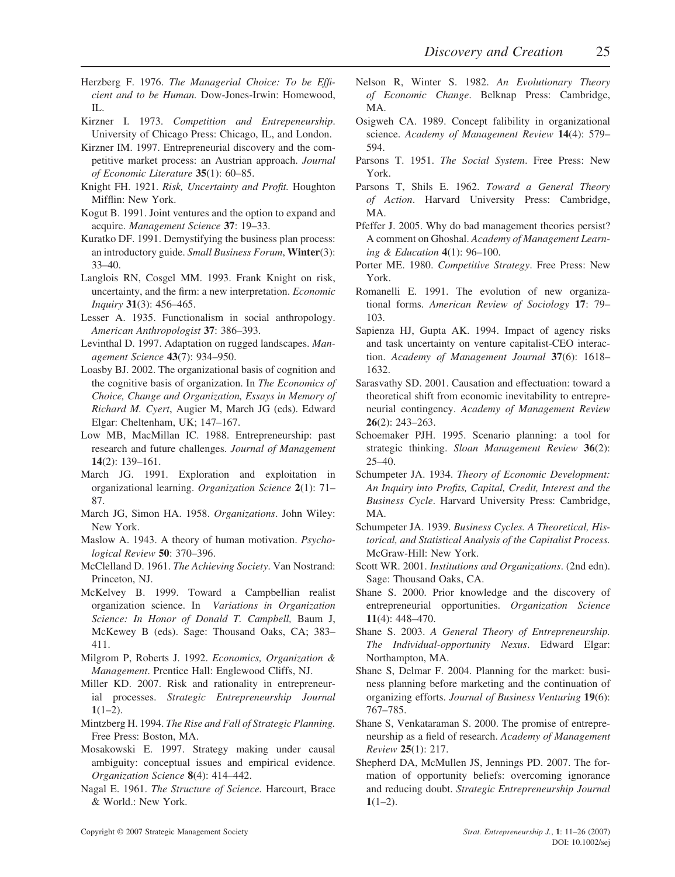- Herzberg F. 1976. *The Managerial Choice: To be Efficient and to be Human.* Dow-Jones-Irwin: Homewood,  $\Pi$ .
- Kirzner I. 1973. *Competition and Entrepeneurship*. University of Chicago Press: Chicago, IL, and London.
- Kirzner IM. 1997. Entrepreneurial discovery and the competitive market process: an Austrian approach. *Journal of Economic Literature* **35**(1): 60–85.
- Knight FH. 1921. *Risk, Uncertainty and Profit*. Houghton Mifflin: New York.
- Kogut B. 1991. Joint ventures and the option to expand and acquire. *Management Science* **37**: 19–33.
- Kuratko DF. 1991. Demystifying the business plan process: an introductory guide. *Small Business Forum*, **Winter**(3): 33–40.
- Langlois RN, Cosgel MM. 1993. Frank Knight on risk, uncertainty, and the firm: a new interpretation. *Economic Inquiry* **31**(3): 456–465.
- Lesser A. 1935. Functionalism in social anthropology. *American Anthropologist* **37**: 386–393.
- Levinthal D. 1997. Adaptation on rugged landscapes. *Management Science* **43**(7): 934–950.
- Loasby BJ. 2002. The organizational basis of cognition and the cognitive basis of organization. In *The Economics of Choice, Change and Organization, Essays in Memory of Richard M. Cyert*, Augier M, March JG (eds). Edward Elgar: Cheltenham, UK; 147–167.
- Low MB, MacMillan IC. 1988. Entrepreneurship: past research and future challenges. *Journal of Management* **14**(2): 139–161.
- March JG. 1991. Exploration and exploitation in organizational learning. *Organization Science* **2**(1): 71– 87.
- March JG, Simon HA. 1958. *Organizations*. John Wiley: New York.
- Maslow A. 1943. A theory of human motivation. *Psychological Review* **50**: 370–396.
- McClelland D. 1961. *The Achieving Society*. Van Nostrand: Princeton, NJ.
- McKelvey B. 1999. Toward a Campbellian realist organization science. In *Variations in Organization Science: In Honor of Donald T. Campbell,* Baum J, McKewey B (eds). Sage: Thousand Oaks, CA; 383– 411.
- Milgrom P, Roberts J. 1992. *Economics, Organization & Management*. Prentice Hall: Englewood Cliffs, NJ.
- Miller KD. 2007. Risk and rationality in entrepreneurial processes. *Strategic Entrepreneurship Journal* **1**(1–2).
- Mintzberg H. 1994. *The Rise and Fall of Strategic Planning.* Free Press: Boston, MA.
- Mosakowski E. 1997. Strategy making under causal ambiguity: conceptual issues and empirical evidence. *Organization Science* **8**(4): 414–442.
- Nagal E. 1961. *The Structure of Science.* Harcourt, Brace & World.: New York.
- Nelson R, Winter S. 1982. *An Evolutionary Theory of Economic Change*. Belknap Press: Cambridge, MA.
- Osigweh CA. 1989. Concept falibility in organizational science. *Academy of Management Review* **14**(4): 579– 594.
- Parsons T. 1951. *The Social System*. Free Press: New York.
- Parsons T, Shils E. 1962. *Toward a General Theory of Action*. Harvard University Press: Cambridge, MA.
- Pfeffer J. 2005. Why do bad management theories persist? A comment on Ghoshal. *Academy of Management Learning & Education* **4**(1): 96–100.
- Porter ME. 1980. *Competitive Strategy*. Free Press: New York.
- Romanelli E. 1991. The evolution of new organizational forms. *American Review of Sociology* **17**: 79– 103.
- Sapienza HJ, Gupta AK. 1994. Impact of agency risks and task uncertainty on venture capitalist-CEO interaction. *Academy of Management Journal* **37**(6): 1618– 1632.
- Sarasvathy SD. 2001. Causation and effectuation: toward a theoretical shift from economic inevitability to entrepreneurial contingency. *Academy of Management Review* **26**(2): 243–263.
- Schoemaker PJH. 1995. Scenario planning: a tool for strategic thinking. *Sloan Management Review* **36**(2): 25–40.
- Schumpeter JA. 1934. *Theory of Economic Development:*  An Inquiry into Profits, Capital, Credit, Interest and the *Business Cycle*. Harvard University Press: Cambridge, MA.
- Schumpeter JA. 1939. *Business Cycles. A Theoretical, Historical, and Statistical Analysis of the Capitalist Process.*  McGraw-Hill: New York.
- Scott WR. 2001. *Institutions and Organizations*. (2nd edn). Sage: Thousand Oaks, CA.
- Shane S. 2000. Prior knowledge and the discovery of entrepreneurial opportunities. *Organization Science* **11**(4): 448–470.
- Shane S. 2003. *A General Theory of Entrepreneurship. The Individual-opportunity Nexus*. Edward Elgar: Northampton, MA.
- Shane S, Delmar F. 2004. Planning for the market: business planning before marketing and the continuation of organizing efforts. *Journal of Business Venturing* **19**(6): 767–785.
- Shane S, Venkataraman S. 2000. The promise of entrepreneurship as a field of research. *Academy of Management Review* **25**(1): 217.
- Shepherd DA, McMullen JS, Jennings PD. 2007. The formation of opportunity beliefs: overcoming ignorance and reducing doubt. *Strategic Entrepreneurship Journal* **1**(1–2).